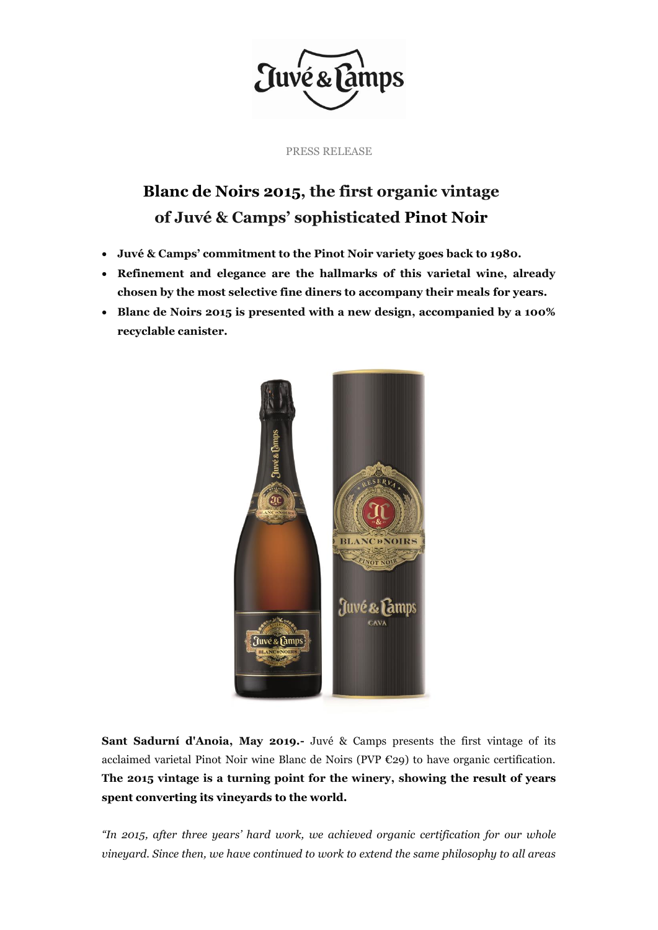

PRESS RELEASE

## **Blanc de Noirs 2015, the first organic vintage of Juvé & Camps' sophisticated Pinot Noir**

- **Juvé & Camps' commitment to the Pinot Noir variety goes back to 1980.**
- **Refinement and elegance are the hallmarks of this varietal wine, already chosen by the most selective fine diners to accompany their meals for years.**
- **Blanc de Noirs 2015 is presented with a new design, accompanied by a 100% recyclable canister.**



**Sant Sadurní d'Anoia, May 2019.-** Juvé & Camps presents the first vintage of its acclaimed varietal Pinot Noir wine Blanc de Noirs (PVP €29) to have organic certification. **The 2015 vintage is a turning point for the winery, showing the result of years spent converting its vineyards to the world.** 

*"In 2015, after three years' hard work, we achieved organic certification for our whole vineyard. Since then, we have continued to work to extend the same philosophy to all areas*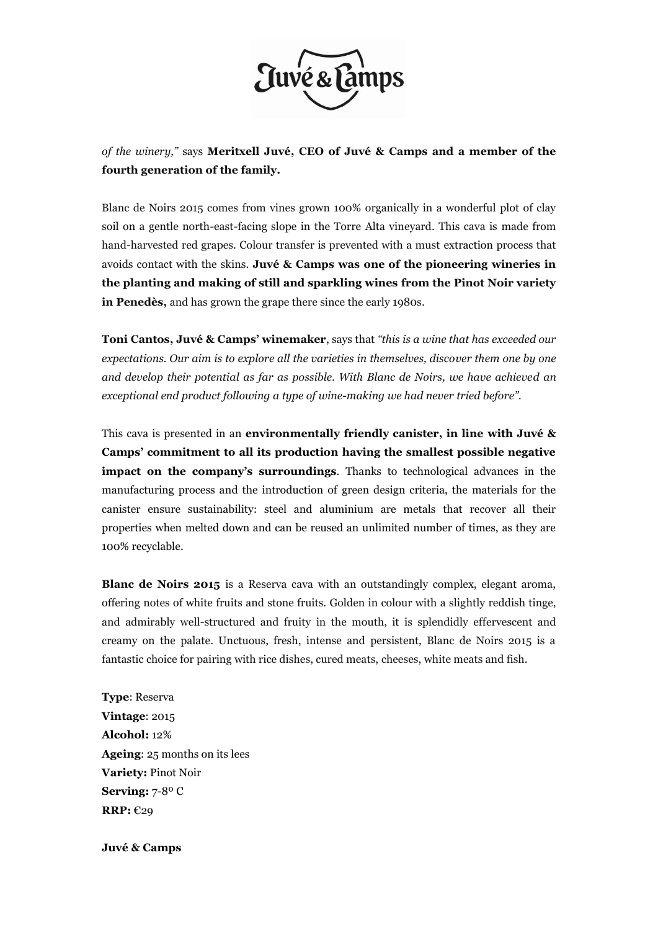

*of the winery,"* says **Meritxell Juvé, CEO of Juvé & Camps and a member of the fourth generation of the family.** 

Blanc de Noirs 2015 comes from vines grown 100% organically in a wonderful plot of clay soil on a gentle north-east-facing slope in the Torre Alta vineyard. This cava is made from hand-harvested red grapes. Colour transfer is prevented with a must extraction process that avoids contact with the skins. **Juvé & Camps was one of the pioneering wineries in the planting and making of still and sparkling wines from the Pinot Noir variety in Penedès,** and has grown the grape there since the early 1980s.

**Toni Cantos, Juvé & Camps' winemaker**, says that *"this is a wine that has exceeded our expectations. Our aim is to explore all the varieties in themselves, discover them one by one and develop their potential as far as possible. With Blanc de Noirs, we have achieved an exceptional end product following a type of wine-making we had never tried before".*

This cava is presented in an **environmentally friendly canister, in line with Juvé & Camps' commitment to all its production having the smallest possible negative impact on the company's surroundings**. Thanks to technological advances in the manufacturing process and the introduction of green design criteria, the materials for the canister ensure sustainability: steel and aluminium are metals that recover all their properties when melted down and can be reused an unlimited number of times, as they are 100% recyclable.

**Blanc de Noirs 2015** is a Reserva cava with an outstandingly complex, elegant aroma, offering notes of white fruits and stone fruits. Golden in colour with a slightly reddish tinge, and admirably well-structured and fruity in the mouth, it is splendidly effervescent and creamy on the palate. Unctuous, fresh, intense and persistent, Blanc de Noirs 2015 is a fantastic choice for pairing with rice dishes, cured meats, cheeses, white meats and fish.

**Type**: Reserva **Vintage**: 2015 **Alcohol:** 12% **Ageing**: 25 months on its lees **Variety:** Pinot Noir **Serving:** 7-8º C **RRP:** €29

**Juvé & Camps**